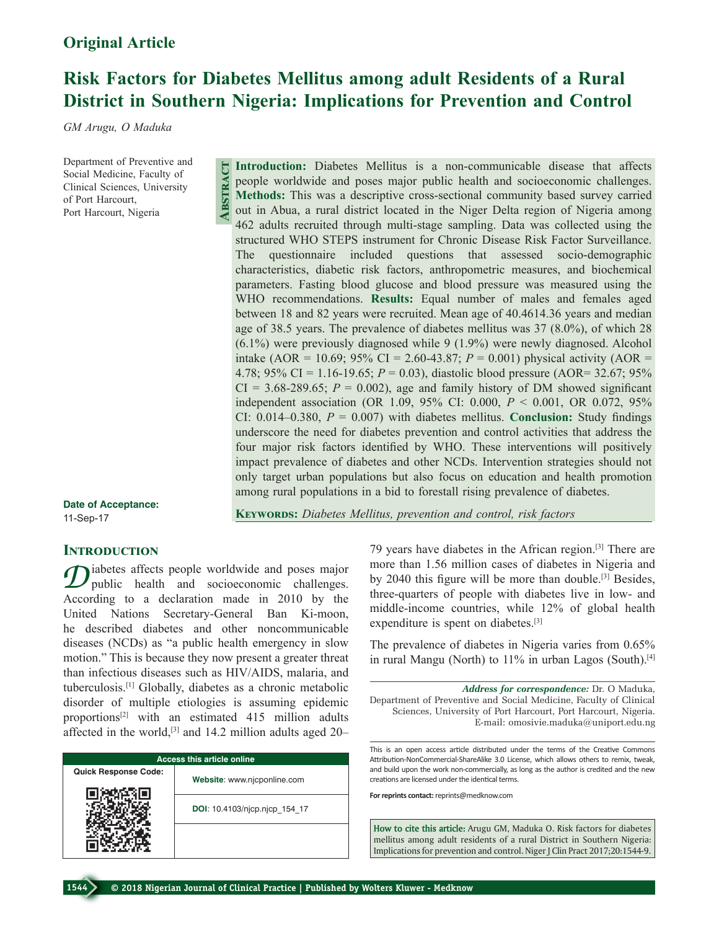# **Risk Factors for Diabetes Mellitus among adult Residents of a Rural District in Southern Nigeria: Implications for Prevention and Control**

*GM Arugu, O Maduka*

Department of Preventive and Social Medicine, Faculty of Clinical Sciences, University of Port Harcourt, Port Harcourt, Nigeria

**Abstract**

**Date of Acceptance:** 11-Sep-17

**KEYWORDS:** Diabetes Mellitus, prevention and control, risk factors

among rural populations in a bid to forestall rising prevalence of diabetes.

**Introduction:** Diabetes Mellitus is a non-communicable disease that affects people worldwide and poses major public health and socioeconomic challenges. **Methods:** This was a descriptive cross-sectional community based survey carried out in Abua, a rural district located in the Niger Delta region of Nigeria among 462 adults recruited through multi-stage sampling. Data was collected using the structured WHO STEPS instrument for Chronic Disease Risk Factor Surveillance. The questionnaire included questions that assessed socio-demographic characteristics, diabetic risk factors, anthropometric measures, and biochemical parameters. Fasting blood glucose and blood pressure was measured using the WHO recommendations. **Results:** Equal number of males and females aged between 18 and 82 years were recruited. Mean age of 40.4614.36 years and median age of 38.5 years. The prevalence of diabetes mellitus was 37 (8.0%), of which 28 (6.1%) were previously diagnosed while 9 (1.9%) were newly diagnosed. Alcohol intake (AOR = 10.69; 95% CI = 2.60-43.87;  $P = 0.001$ ) physical activity (AOR = 4.78; 95% CI = 1.16-19.65; *P* = 0.03), diastolic blood pressure (AOR= 32.67; 95%  $CI = 3.68-289.65$ ;  $P = 0.002$ ), age and family history of DM showed significant independent association (OR 1.09, 95% CI: 0.000, *P* < 0.001, OR 0.072, 95% CI:  $0.014 - 0.380$ ,  $P = 0.007$ ) with diabetes mellitus. **Conclusion:** Study findings underscore the need for diabetes prevention and control activities that address the four major risk factors identified by WHO. These interventions will positively impact prevalence of diabetes and other NCDs. Intervention strategies should not only target urban populations but also focus on education and health promotion

# **INTRODUCTION**

 $\mathcal{D}$  iabetes affects people worldwide and poses major<br>
public health and socioeconomic challenges. According to a declaration made in 2010 by the United Nations Secretary‑General Ban Ki‑moon, he described diabetes and other noncommunicable diseases (NCDs) as "a public health emergency in slow motion." This is because they now present a greater threat than infectious diseases such as HIV/AIDS, malaria, and tuberculosis.[1] Globally, diabetes as a chronic metabolic disorder of multiple etiologies is assuming epidemic proportions[2] with an estimated 415 million adults affected in the world, $[3]$  and 14.2 million adults aged 20–

| <b>Access this article online</b> |                               |  |  |
|-----------------------------------|-------------------------------|--|--|
| <b>Quick Response Code:</b>       | Website: www.njcponline.com   |  |  |
|                                   | DOI: 10.4103/njcp.njcp 154 17 |  |  |
|                                   |                               |  |  |

79 years have diabetes in the African region.[3] There are more than 1.56 million cases of diabetes in Nigeria and by 2040 this figure will be more than double.[3] Besides, three-quarters of people with diabetes live in low- and middle‑income countries, while 12% of global health expenditure is spent on diabetes.<sup>[3]</sup>

The prevalence of diabetes in Nigeria varies from 0.65% in rural Mangu (North) to 11% in urban Lagos (South).<sup>[4]</sup>

*Address for correspondence:* Dr. O Maduka, Department of Preventive and Social Medicine, Faculty of Clinical Sciences, University of Port Harcourt, Port Harcourt, Nigeria. E‑mail: omosivie.maduka@uniport.edu.ng

This is an open access article distributed under the terms of the Creative Commons Attribution-NonCommercial-ShareAlike 3.0 License, which allows others to remix, tweak, and build upon the work non-commercially, as long as the author is credited and the new creations are licensed under the identical terms.

**For reprints contact:** reprints@medknow.com

**How to cite this article:** Arugu GM, Maduka O. Risk factors for diabetes mellitus among adult residents of a rural District in Southern Nigeria: Implications for prevention and control. Niger J Clin Pract 2017;20:1544-9.

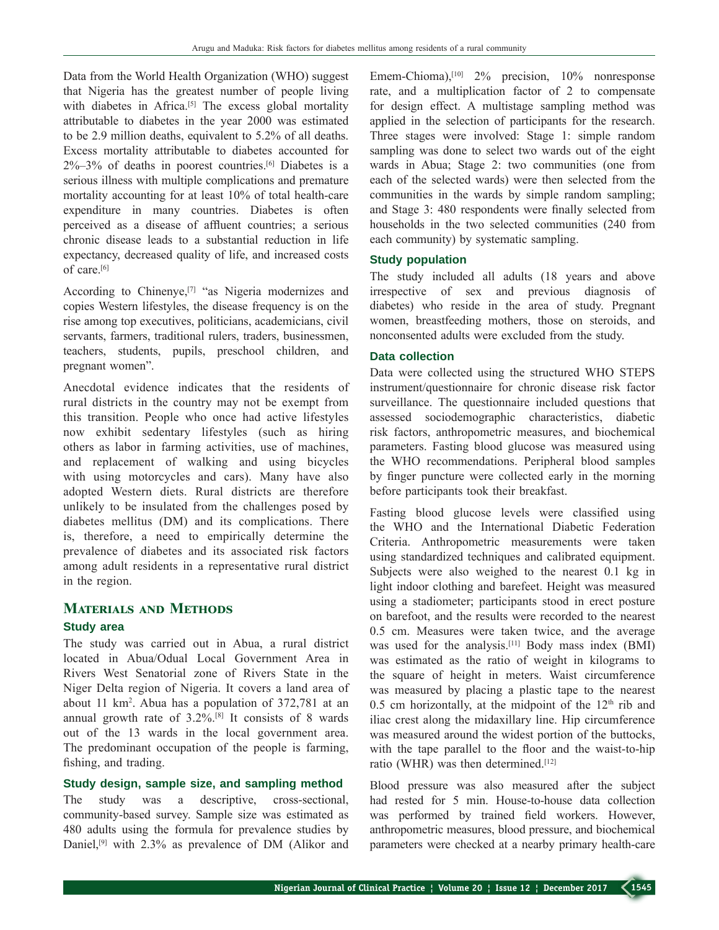Data from the World Health Organization (WHO) suggest that Nigeria has the greatest number of people living with diabetes in Africa.<sup>[5]</sup> The excess global mortality attributable to diabetes in the year 2000 was estimated to be 2.9 million deaths, equivalent to 5.2% of all deaths. Excess mortality attributable to diabetes accounted for  $2\% - 3\%$  of deaths in poorest countries.<sup>[6]</sup> Diabetes is a serious illness with multiple complications and premature mortality accounting for at least 10% of total health-care expenditure in many countries. Diabetes is often perceived as a disease of affluent countries; a serious chronic disease leads to a substantial reduction in life expectancy, decreased quality of life, and increased costs of care.[6]

According to Chinenye,<sup>[7]</sup> "as Nigeria modernizes and copies Western lifestyles, the disease frequency is on the rise among top executives, politicians, academicians, civil servants, farmers, traditional rulers, traders, businessmen, teachers, students, pupils, preschool children, and pregnant women".

Anecdotal evidence indicates that the residents of rural districts in the country may not be exempt from this transition. People who once had active lifestyles now exhibit sedentary lifestyles (such as hiring others as labor in farming activities, use of machines, and replacement of walking and using bicycles with using motorcycles and cars). Many have also adopted Western diets. Rural districts are therefore unlikely to be insulated from the challenges posed by diabetes mellitus (DM) and its complications. There is, therefore, a need to empirically determine the prevalence of diabetes and its associated risk factors among adult residents in a representative rural district in the region.

# **Materials and Methods Study area**

The study was carried out in Abua, a rural district located in Abua/Odual Local Government Area in Rivers West Senatorial zone of Rivers State in the Niger Delta region of Nigeria. It covers a land area of about 11 km2 . Abua has a population of 372,781 at an annual growth rate of  $3.2\%$ .<sup>[8]</sup> It consists of 8 wards out of the 13 wards in the local government area. The predominant occupation of the people is farming, fishing, and trading.

# **Study design, sample size, and sampling method**

The study was a descriptive, cross-sectional, community-based survey. Sample size was estimated as 480 adults using the formula for prevalence studies by Daniel,<sup>[9]</sup> with 2.3% as prevalence of DM (Alikor and Emem-Chioma), $^{[10]}$  2% precision, 10% nonresponse rate, and a multiplication factor of 2 to compensate for design effect. A multistage sampling method was applied in the selection of participants for the research. Three stages were involved: Stage 1: simple random sampling was done to select two wards out of the eight wards in Abua; Stage 2: two communities (one from each of the selected wards) were then selected from the communities in the wards by simple random sampling; and Stage 3: 480 respondents were finally selected from households in the two selected communities (240 from each community) by systematic sampling.

# **Study population**

The study included all adults (18 years and above irrespective of sex and previous diagnosis of diabetes) who reside in the area of study. Pregnant women, breastfeeding mothers, those on steroids, and nonconsented adults were excluded from the study.

# **Data collection**

Data were collected using the structured WHO STEPS instrument/questionnaire for chronic disease risk factor surveillance. The questionnaire included questions that assessed sociodemographic characteristics, diabetic risk factors, anthropometric measures, and biochemical parameters. Fasting blood glucose was measured using the WHO recommendations. Peripheral blood samples by finger puncture were collected early in the morning before participants took their breakfast.

Fasting blood glucose levels were classified using the WHO and the International Diabetic Federation Criteria. Anthropometric measurements were taken using standardized techniques and calibrated equipment. Subjects were also weighed to the nearest 0.1 kg in light indoor clothing and barefeet. Height was measured using a stadiometer; participants stood in erect posture on barefoot, and the results were recorded to the nearest 0.5 cm. Measures were taken twice, and the average was used for the analysis.[11] Body mass index (BMI) was estimated as the ratio of weight in kilograms to the square of height in meters. Waist circumference was measured by placing a plastic tape to the nearest 0.5 cm horizontally, at the midpoint of the  $12<sup>th</sup>$  rib and iliac crest along the midaxillary line. Hip circumference was measured around the widest portion of the buttocks, with the tape parallel to the floor and the waist-to-hip ratio (WHR) was then determined.[12]

Blood pressure was also measured after the subject had rested for 5 min. House-to-house data collection was performed by trained field workers. However, anthropometric measures, blood pressure, and biochemical parameters were checked at a nearby primary health-care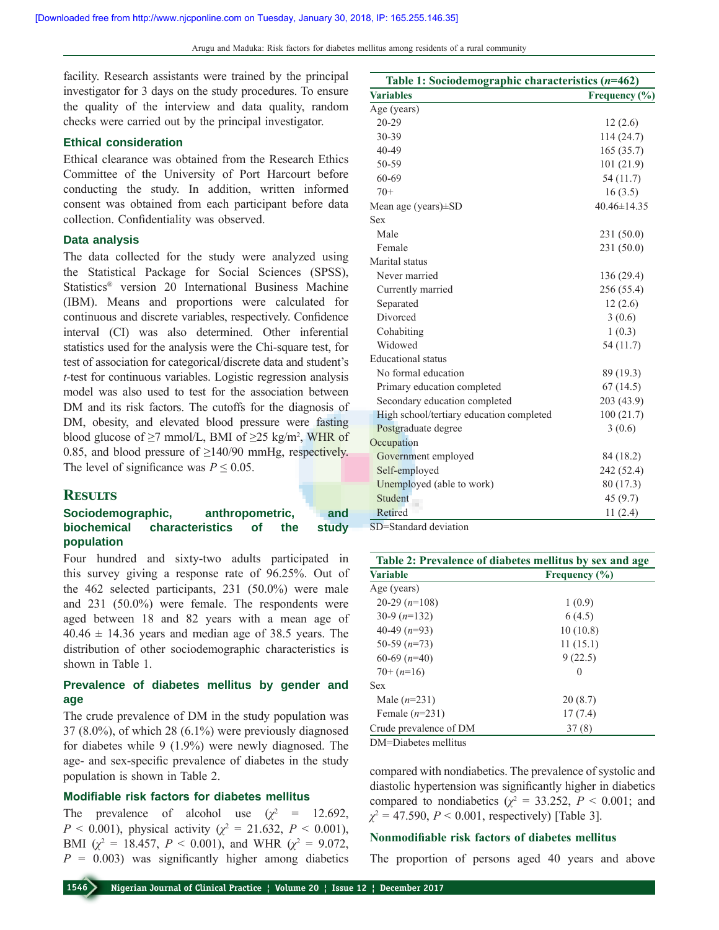Arugu and Maduka: Risk factors for diabetes mellitus among residents of a rural community

facility. Research assistants were trained by the principal investigator for 3 days on the study procedures. To ensure the quality of the interview and data quality, random checks were carried out by the principal investigator.

# **Ethical consideration**

Ethical clearance was obtained from the Research Ethics Committee of the University of Port Harcourt before conducting the study. In addition, written informed consent was obtained from each participant before data collection. Confidentiality was observed.

# **Data analysis**

The data collected for the study were analyzed using the Statistical Package for Social Sciences (SPSS), Statistics® version 20 International Business Machine (IBM). Means and proportions were calculated for continuous and discrete variables, respectively. Confidence interval (CI) was also determined. Other inferential statistics used for the analysis were the Chi‑square test, for test of association for categorical/discrete data and student's *t*‑test for continuous variables. Logistic regression analysis model was also used to test for the association between DM and its risk factors. The cutoffs for the diagnosis of DM, obesity, and elevated blood pressure were fasting blood glucose of  $\geq$ 7 mmol/L, BMI of  $\geq$ 25 kg/m<sup>2</sup>, WHR of 0.85, and blood pressure of  $\geq$ 140/90 mmHg, respectively. The level of significance was  $P \leq 0.05$ .

### **Results**

# Sociodemographic, anthropometric, and **biochemical characteristics of the study population**

Four hundred and sixty-two adults participated in this survey giving a response rate of 96.25%. Out of the 462 selected participants, 231 (50.0%) were male and 231 (50.0%) were female. The respondents were aged between 18 and 82 years with a mean age of  $40.46 \pm 14.36$  years and median age of 38.5 years. The distribution of other sociodemographic characteristics is shown in Table 1.

# **Prevalence of diabetes mellitus by gender and age**

The crude prevalence of DM in the study population was 37 (8.0%), of which 28 (6.1%) were previously diagnosed for diabetes while 9 (1.9%) were newly diagnosed. The age‑ and sex‑specific prevalence of diabetes in the study population is shown in Table 2.

# **Modifiable risk factors for diabetes mellitus**

The prevalence of alcohol use  $(\chi^2 = 12.692)$ , *P* < 0.001), physical activity ( $\chi^2$  = 21.632, *P* < 0.001), BMI ( $\chi^2 = 18.457$ ,  $P < 0.001$ ), and WHR ( $\chi^2 = 9.072$ ,  $P = 0.003$ ) was significantly higher among diabetics

| Table 1: Sociodemographic characteristics $(n=462)$ |                   |
|-----------------------------------------------------|-------------------|
| <b>Variables</b>                                    | Frequency $(\% )$ |
| Age (years)                                         |                   |
| 20-29                                               | 12(2.6)           |
| 30-39                                               | 114 (24.7)        |
| 40-49                                               | 165(35.7)         |
| 50-59                                               | 101 (21.9)        |
| 60-69                                               | 54 (11.7)         |
| $70+$                                               | 16(3.5)           |
| Mean age (years) $\pm$ SD                           | 40.46±14.35       |
| <b>Sex</b>                                          |                   |
| Male                                                | 231 (50.0)        |
| Female                                              | 231 (50.0)        |
| Marital status                                      |                   |
| Never married                                       | 136 (29.4)        |
| Currently married                                   | 256 (55.4)        |
| Separated                                           | 12(2.6)           |
| Divorced                                            | 3(0.6)            |
| Cohabiting                                          | 1(0.3)            |
| Widowed                                             | 54 (11.7)         |
| <b>Educational</b> status                           |                   |
| No formal education                                 | 89 (19.3)         |
| Primary education completed                         | 67(14.5)          |
| Secondary education completed                       | 203 (43.9)        |
| High school/tertiary education completed            | 100(21.7)         |
| Postgraduate degree                                 | 3(0.6)            |
| Occupation                                          |                   |
| Government employed                                 | 84 (18.2)         |
| Self-employed                                       | 242 (52.4)        |
| Unemployed (able to work)                           | 80 (17.3)         |
| Student                                             | 45(9.7)           |
| Retired                                             | 11(2.4)           |
| SD=Standard deviation                               |                   |

| Table 2: Prevalence of diabetes mellitus by sex and age |                   |  |
|---------------------------------------------------------|-------------------|--|
| <b>Variable</b>                                         | Frequency $(\% )$ |  |
| Age (years)                                             |                   |  |
| 20-29 $(n=108)$                                         | 1(0.9)            |  |
| 30-9 $(n=132)$                                          | 6(4.5)            |  |
| 40-49 $(n=93)$                                          | 10(10.8)          |  |
| 50-59 $(n=73)$                                          | 11(15.1)          |  |
| 60-69 $(n=40)$                                          | 9(22.5)           |  |
| $70+ (n=16)$                                            | 0                 |  |
| <b>Sex</b>                                              |                   |  |
| Male $(n=231)$                                          | 20(8.7)           |  |
| Female $(n=231)$                                        | 17(7.4)           |  |
| Crude prevalence of DM                                  | 37(8)             |  |

DM=Diabetes mellitus

compared with nondiabetics. The prevalence of systolic and diastolic hypertension was significantly higher in diabetics compared to nondiabetics ( $\chi^2 = 33.252$ ,  $P < 0.001$ ; and  $\chi^2 = 47.590$ ,  $P < 0.001$ , respectively) [Table 3].

#### **Nonmodifiable risk factors of diabetes mellitus**

The proportion of persons aged 40 years and above

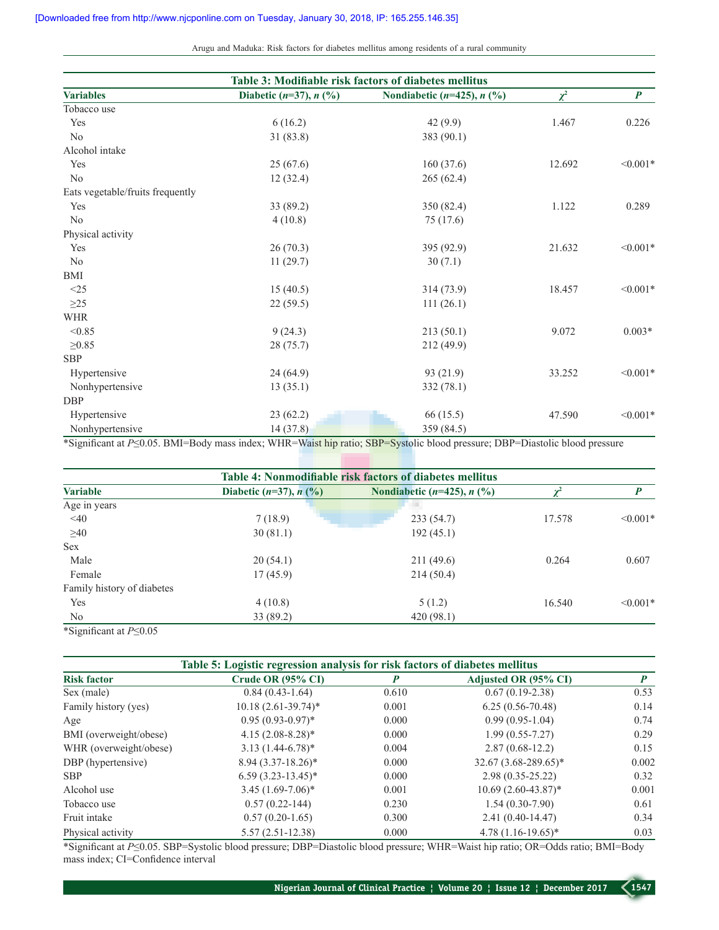Arugu and Maduka: Risk factors for diabetes mellitus among residents of a rural community

| Table 3: Modifiable risk factors of diabetes mellitus |                             |                                  |          |                  |
|-------------------------------------------------------|-----------------------------|----------------------------------|----------|------------------|
| <b>Variables</b>                                      | Diabetic $(n=37)$ , $n$ (%) | Nondiabetic ( $n=425$ ), $n$ (%) | $\chi^2$ | $\boldsymbol{P}$ |
| Tobacco use                                           |                             |                                  |          |                  |
| Yes                                                   | 6(16.2)                     | 42(9.9)                          | 1.467    | 0.226            |
| No                                                    | 31(83.8)                    | 383 (90.1)                       |          |                  |
| Alcohol intake                                        |                             |                                  |          |                  |
| Yes                                                   | 25(67.6)                    | 160(37.6)                        | 12.692   | $< 0.001*$       |
| $\rm No$                                              | 12(32.4)                    | 265(62.4)                        |          |                  |
| Eats vegetable/fruits frequently                      |                             |                                  |          |                  |
| Yes                                                   | 33 (89.2)                   | 350 (82.4)                       | 1.122    | 0.289            |
| No                                                    | 4(10.8)                     | 75 (17.6)                        |          |                  |
| Physical activity                                     |                             |                                  |          |                  |
| Yes                                                   | 26(70.3)                    | 395 (92.9)                       | 21.632   | $< 0.001*$       |
| $\rm No$                                              | 11(29.7)                    | 30(7.1)                          |          |                  |
| <b>BMI</b>                                            |                             |                                  |          |                  |
| <25                                                   | 15(40.5)                    | 314 (73.9)                       | 18.457   | $< 0.001*$       |
| $\geq$ 25                                             | 22(59.5)                    | 111(26.1)                        |          |                  |
| <b>WHR</b>                                            |                             |                                  |          |                  |
| < 0.85                                                | 9(24.3)                     | 213(50.1)                        | 9.072    | $0.003*$         |
| $\geq 0.85$                                           | 28 (75.7)                   | 212 (49.9)                       |          |                  |
| <b>SBP</b>                                            |                             |                                  |          |                  |
| Hypertensive                                          | 24(64.9)                    | 93 (21.9)                        | 33.252   | $< 0.001*$       |
| Nonhypertensive                                       | 13(35.1)                    | 332 (78.1)                       |          |                  |
| <b>DBP</b>                                            |                             |                                  |          |                  |
| Hypertensive                                          | 23(62.2)                    | 66(15.5)                         | 47.590   | $< 0.001*$       |
| Nonhypertensive                                       | 14 (37.8)                   | 359 (84.5)                       |          |                  |

\*Significant at *P*≤0.05. BMI=Body mass index; WHR=Waist hip ratio; SBP=Systolic blood pressure; DBP=Diastolic blood pressure

| Table 4: Nonmodifiable risk factors of diabetes mellitus |                                         |                                    |                |               |  |
|----------------------------------------------------------|-----------------------------------------|------------------------------------|----------------|---------------|--|
| <b>Variable</b>                                          | Diabetic $(n=37)$ , $n$ $(\frac{9}{6})$ | Nondiabetic $(n=425)$ , $n$ $(\%)$ | $\mathbf{v}^2$ | P             |  |
| Age in years                                             |                                         |                                    |                |               |  |
| $\leq 40$                                                | 7(18.9)                                 | 233(54.7)                          | 17.578         | $\leq 0.001*$ |  |
| $\geq 40$                                                | 30(81.1)                                | 192(45.1)                          |                |               |  |
| <b>Sex</b>                                               |                                         |                                    |                |               |  |
| Male                                                     | 20(54.1)                                | 211 (49.6)                         | 0.264          | 0.607         |  |
| Female                                                   | 17(45.9)                                | 214(50.4)                          |                |               |  |
| Family history of diabetes                               |                                         |                                    |                |               |  |
| Yes                                                      | 4(10.8)                                 | 5(1.2)                             | 16.540         | $\leq 0.001*$ |  |
| N <sub>o</sub>                                           | 33 (89.2)                               | 420(98.1)                          |                |               |  |
|                                                          |                                         |                                    |                |               |  |

\*Significant at *P*≤0.05

| Table 5: Logistic regression analysis for risk factors of diabetes mellitus |                       |       |                        |                  |
|-----------------------------------------------------------------------------|-----------------------|-------|------------------------|------------------|
| <b>Risk factor</b>                                                          | Crude OR (95% CI)     | P     | Adjusted OR (95% CI)   | $\boldsymbol{P}$ |
| Sex (male)                                                                  | $0.84(0.43-1.64)$     | 0.610 | $0.67(0.19-2.38)$      | 0.53             |
| Family history (yes)                                                        | $10.18(2.61-39.74)$ * | 0.001 | $6.25(0.56-70.48)$     | 0.14             |
| Age                                                                         | $0.95(0.93-0.97)^*$   | 0.000 | $0.99(0.95-1.04)$      | 0.74             |
| BMI (overweight/obese)                                                      | $4.15(2.08-8.28)$ *   | 0.000 | $1.99(0.55 - 7.27)$    | 0.29             |
| WHR (overweight/obese)                                                      | $3.13(1.44-6.78)$ *   | 0.004 | $2.87(0.68-12.2)$      | 0.15             |
| DBP (hypertensive)                                                          | $8.94(3.37-18.26)^*$  | 0.000 | $32.67(3.68-289.65)^*$ | 0.002            |
| <b>SBP</b>                                                                  | $6.59(3.23-13.45)^*$  | 0.000 | $2.98(0.35-25.22)$     | 0.32             |
| Alcohol use                                                                 | $3.45(1.69-7.06)^*$   | 0.001 | $10.69(2.60-43.87)$ *  | 0.001            |
| Tobacco use                                                                 | $0.57(0.22 - 144)$    | 0.230 | $1.54(0.30-7.90)$      | 0.61             |
| Fruit intake                                                                | $0.57(0.20-1.65)$     | 0.300 | $2.41(0.40-14.47)$     | 0.34             |
| Physical activity                                                           | $5.57(2.51-12.38)$    | 0.000 | $4.78(1.16-19.65)^*$   | 0.03             |

\*Significant at *P*≤0.05. SBP=Systolic blood pressure; DBP=Diastolic blood pressure; WHR=Waist hip ratio; OR=Odds ratio; BMI=Body mass index; CI=Confidence interval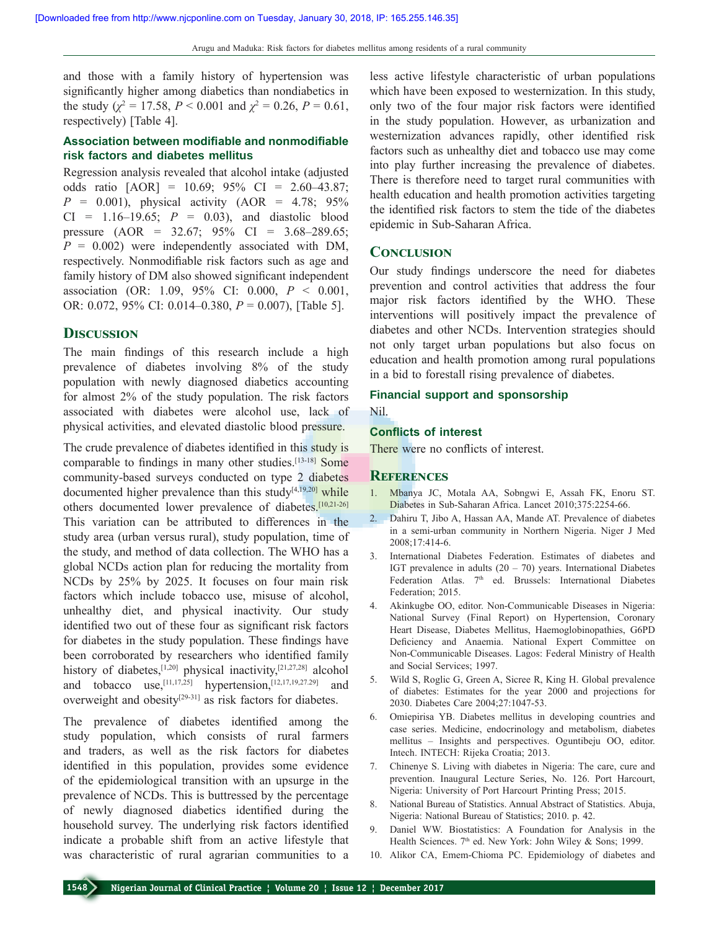and those with a family history of hypertension was significantly higher among diabetics than nondiabetics in the study ( $\chi^2 = 17.58$ ,  $P < 0.001$  and  $\chi^2 = 0.26$ ,  $P = 0.61$ , respectively) [Table 4].

# **Association between modifiable and nonmodifiable risk factors and diabetes mellitus**

Regression analysis revealed that alcohol intake (adjusted odds ratio [AOR] = 10.69; 95% CI = 2.60–43.87;  $P = 0.001$ , physical activity (AOR = 4.78; 95%) CI = 1.16–19.65; *P* = 0.03), and diastolic blood pressure (AOR = 32.67; 95% CI = 3.68–289.65;  $P = 0.002$ ) were independently associated with DM, respectively. Nonmodifiable risk factors such as age and family history of DM also showed significant independent association (OR: 1.09, 95% CI: 0.000, *P* < 0.001, OR: 0.072, 95% CI: 0.014–0.380, *P* = 0.007), [Table 5].

## **Discussion**

The main findings of this research include a high prevalence of diabetes involving 8% of the study population with newly diagnosed diabetics accounting for almost 2% of the study population. The risk factors associated with diabetes were alcohol use, lack of physical activities, and elevated diastolic blood pressure.

The crude prevalence of diabetes identified in this study is comparable to findings in many other studies.[13‑18] Some community-based surveys conducted on type 2 diabetes documented higher prevalence than this study $[4,19,20]$  while others documented lower prevalence of diabetes.[10,21‑26] This variation can be attributed to differences in the study area (urban versus rural), study population, time of the study, and method of data collection. The WHO has a global NCDs action plan for reducing the mortality from NCDs by 25% by 2025. It focuses on four main risk factors which include tobacco use, misuse of alcohol, unhealthy diet, and physical inactivity. Our study identified two out of these four as significant risk factors for diabetes in the study population. These findings have been corroborated by researchers who identified family history of diabetes,<sup>[1,20]</sup> physical inactivity,<sup>[21,27,28]</sup> alcohol and tobacco use,<sup>[11,17,25]</sup> hypertension,<sup>[12,17,19,27.29]</sup> and overweight and obesity<sup>[29-31]</sup> as risk factors for diabetes.

The prevalence of diabetes identified among the study population, which consists of rural farmers and traders, as well as the risk factors for diabetes identified in this population, provides some evidence of the epidemiological transition with an upsurge in the prevalence of NCDs. This is buttressed by the percentage of newly diagnosed diabetics identified during the household survey. The underlying risk factors identified indicate a probable shift from an active lifestyle that was characteristic of rural agrarian communities to a

less active lifestyle characteristic of urban populations which have been exposed to westernization. In this study, only two of the four major risk factors were identified in the study population. However, as urbanization and westernization advances rapidly, other identified risk factors such as unhealthy diet and tobacco use may come into play further increasing the prevalence of diabetes. There is therefore need to target rural communities with health education and health promotion activities targeting the identified risk factors to stem the tide of the diabetes epidemic in Sub‑Saharan Africa.

#### **Conclusion**

Our study findings underscore the need for diabetes prevention and control activities that address the four major risk factors identified by the WHO. These interventions will positively impact the prevalence of diabetes and other NCDs. Intervention strategies should not only target urban populations but also focus on education and health promotion among rural populations in a bid to forestall rising prevalence of diabetes.

# **Financial support and sponsorship**

Nil.

## **Conflicts of interest**

There were no conflicts of interest.

#### **References**

- 1. Mbanya JC, Motala AA, Sobngwi E, Assah FK, Enoru ST. Diabetes in Sub‑Saharan Africa. Lancet 2010;375:2254‑66.
- 2. Dahiru T, Jibo A, Hassan AA, Mande AT. Prevalence of diabetes in a semi‑urban community in Northern Nigeria. Niger J Med 2008;17:414‑6.
- 3. International Diabetes Federation. Estimates of diabetes and IGT prevalence in adults  $(20 - 70)$  years. International Diabetes Federation Atlas. 7<sup>th</sup> ed. Brussels: International Diabetes Federation; 2015.
- 4. Akinkugbe OO, editor. Non-Communicable Diseases in Nigeria: National Survey (Final Report) on Hypertension, Coronary Heart Disease, Diabetes Mellitus, Haemoglobinopathies, G6PD Deficiency and Anaemia. National Expert Committee on Non‑Communicable Diseases. Lagos: Federal Ministry of Health and Social Services; 1997.
- 5. Wild S, Roglic G, Green A, Sicree R, King H. Global prevalence of diabetes: Estimates for the year 2000 and projections for 2030. Diabetes Care 2004;27:1047‑53.
- 6. Omiepirisa YB. Diabetes mellitus in developing countries and case series. Medicine, endocrinology and metabolism, diabetes mellitus – Insights and perspectives. Oguntibeju OO, editor. Intech. INTECH: Rijeka Croatia; 2013.
- 7. Chinenye S. Living with diabetes in Nigeria: The care, cure and prevention. Inaugural Lecture Series, No. 126. Port Harcourt, Nigeria: University of Port Harcourt Printing Press; 2015.
- 8. National Bureau of Statistics. Annual Abstract of Statistics. Abuja, Nigeria: National Bureau of Statistics; 2010. p. 42.
- 9. Daniel WW. Biostatistics: A Foundation for Analysis in the Health Sciences. 7<sup>th</sup> ed. New York: John Wiley & Sons; 1999.
- 10. Alikor CA, Emem‑Chioma PC. Epidemiology of diabetes and